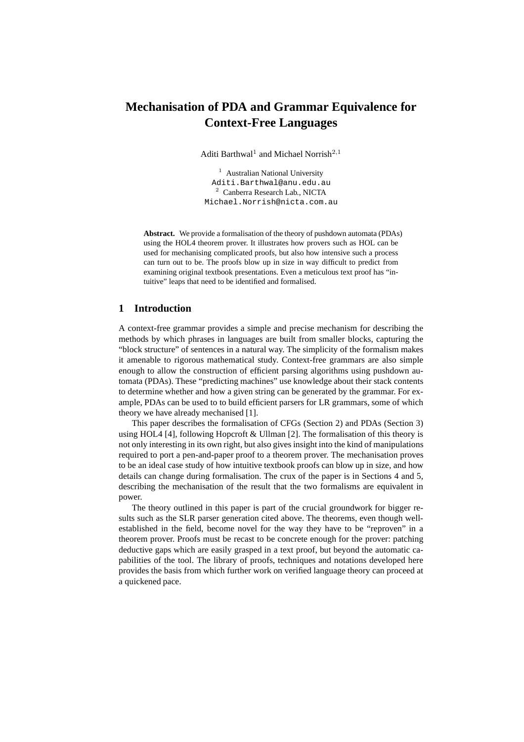# **Mechanisation of PDA and Grammar Equivalence for Context-Free Languages**

Aditi Barthwal<sup>1</sup> and Michael Norrish<sup>2,1</sup>

<sup>1</sup> Australian National University Aditi.Barthwal@anu.edu.au <sup>2</sup> Canberra Research Lab., NICTA Michael.Norrish@nicta.com.au

**Abstract.** We provide a formalisation of the theory of pushdown automata (PDAs) using the HOL4 theorem prover. It illustrates how provers such as HOL can be used for mechanising complicated proofs, but also how intensive such a process can turn out to be. The proofs blow up in size in way difficult to predict from examining original textbook presentations. Even a meticulous text proof has "intuitive" leaps that need to be identified and formalised.

# **1 Introduction**

A context-free grammar provides a simple and precise mechanism for describing the methods by which phrases in languages are built from smaller blocks, capturing the "block structure" of sentences in a natural way. The simplicity of the formalism makes it amenable to rigorous mathematical study. Context-free grammars are also simple enough to allow the construction of efficient parsing algorithms using pushdown automata (PDAs). These "predicting machines" use knowledge about their stack contents to determine whether and how a given string can be generated by the grammar. For example, PDAs can be used to to build efficient parsers for LR grammars, some of which theory we have already mechanised [1].

This paper describes the formalisation of CFGs (Section 2) and PDAs (Section 3) using HOL4 [4], following Hopcroft & Ullman [2]. The formalisation of this theory is not only interesting in its own right, but also gives insight into the kind of manipulations required to port a pen-and-paper proof to a theorem prover. The mechanisation proves to be an ideal case study of how intuitive textbook proofs can blow up in size, and how details can change during formalisation. The crux of the paper is in Sections 4 and 5, describing the mechanisation of the result that the two formalisms are equivalent in power.

The theory outlined in this paper is part of the crucial groundwork for bigger results such as the SLR parser generation cited above. The theorems, even though wellestablished in the field, become novel for the way they have to be "reproven" in a theorem prover. Proofs must be recast to be concrete enough for the prover: patching deductive gaps which are easily grasped in a text proof, but beyond the automatic capabilities of the tool. The library of proofs, techniques and notations developed here provides the basis from which further work on verified language theory can proceed at a quickened pace.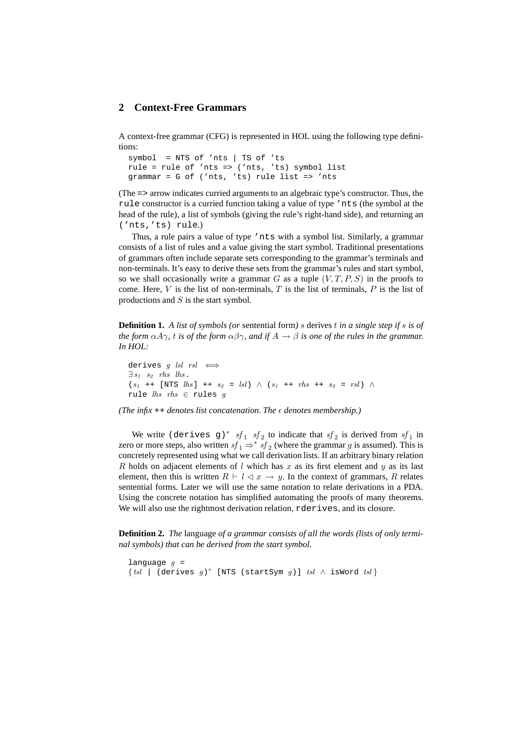# **2 Context-Free Grammars**

A context-free grammar (CFG) is represented in HOL using the following type definitions:

```
symbol = NTS of 'nts | TS of 'ts
rule = rule of 'nts => ('nts, 'ts) symbol list
grammar = G of ('nts, 'ts) rule list => 'nts
```
(The => arrow indicates curried arguments to an algebraic type's constructor. Thus, the rule constructor is a curried function taking a value of type 'nts (the symbol at the head of the rule), a list of symbols (giving the rule's right-hand side), and returning an ('nts,'ts) rule.)

Thus, a rule pairs a value of type 'nts with a symbol list. Similarly, a grammar consists of a list of rules and a value giving the start symbol. Traditional presentations of grammars often include separate sets corresponding to the grammar's terminals and non-terminals. It's easy to derive these sets from the grammar's rules and start symbol, so we shall occasionally write a grammar G as a tuple  $(V, T, P, S)$  in the proofs to come. Here, V is the list of non-terminals, T is the list of terminals, P is the list of productions and  $S$  is the start symbol.

**Definition 1.** *A list of symbols (or* sentential form*)* s derives t *in a single step if* s *is of the form*  $\alpha A \gamma$ , *t is of the form*  $\alpha \beta \gamma$ , and if  $A \rightarrow \beta$  *is one of the rules in the grammar. In HOL:*

derives g lsl rsl  $\iff$  $\exists s_1 \ s_2 \ \textit{rhs} \ \textit{lhs}.$  $(s_1$  ++ [NTS  $lhs$ ] ++  $s_2$  =  $lsl$ )  $\wedge$   $(s_1$  ++  $rhs$  ++  $s_2$  =  $rsl$ )  $\wedge$ rule  $\mathit{lhs}$   $\mathit{rhs} \in \mathit{rules}$   $q$ 

*(The infix ++ denotes list concatenation. The*  $\epsilon$  *denotes membership.)* 

We write (derives g)<sup>\*</sup>  $sf_1$   $sf_2$  to indicate that  $sf_2$  is derived from  $sf_1$  in zero or more steps, also written  $sf_1 \Rightarrow * sf_2$  (where the grammar g is assumed). This is concretely represented using what we call derivation lists. If an arbitrary binary relation R holds on adjacent elements of  $l$  which has  $x$  as its first element and  $y$  as its last element, then this is written  $R \vdash l \lhd x \rightarrow y$ . In the context of grammars, R relates sentential forms. Later we will use the same notation to relate derivations in a PDA. Using the concrete notation has simplified automating the proofs of many theorems. We will also use the rightmost derivation relation, rderives, and its closure.

**Definition 2.** *The* language *of a grammar consists of all the words (lists of only terminal symbols) that can be derived from the start symbol.*

```
language q ={tsl \rvert} (derives g)<sup>*</sup> [NTS (startSym g)] tsl \rvert \rvert isWord tsl }
```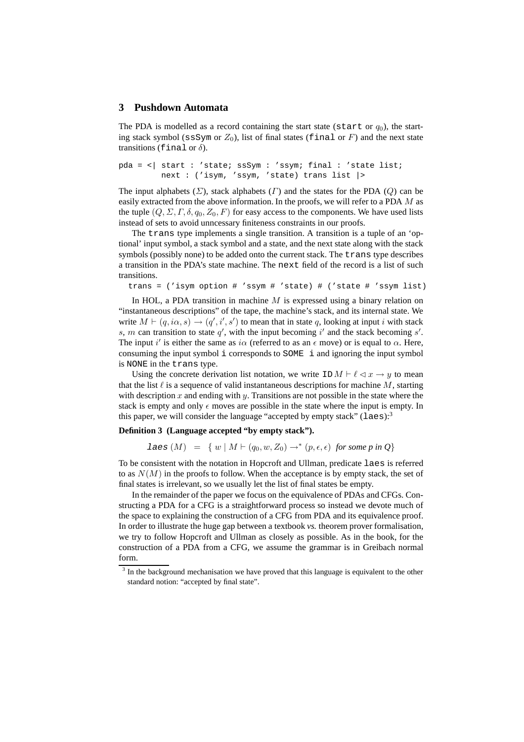### **3 Pushdown Automata**

The PDA is modelled as a record containing the start state (start or  $q_0$ ), the starting stack symbol ( $ssSym$  or  $Z_0$ ), list of final states (final or F) and the next state transitions (final or  $\delta$ ).

```
pda = <| start : 'state; ssSym : 'ssym; final : 'state list;
         next : ('isym, 'ssym, 'state) trans list |>
```
The input alphabets  $(\Sigma)$ , stack alphabets  $(\Gamma)$  and the states for the PDA  $(Q)$  can be easily extracted from the above information. In the proofs, we will refer to a PDA  $M$  as the tuple  $(Q, \Sigma, \Gamma, \delta, q_0, Z_0, F)$  for easy access to the components. We have used lists instead of sets to avoid unncessary finiteness constraints in our proofs.

The trans type implements a single transition. A transition is a tuple of an 'optional' input symbol, a stack symbol and a state, and the next state along with the stack symbols (possibly none) to be added onto the current stack. The trans type describes a transition in the PDA's state machine. The next field of the record is a list of such transitions.

```
trans = ('isym option # 'ssym # 'state) # ('state # 'ssym list)
```
In HOL, a PDA transition in machine  $M$  is expressed using a binary relation on "instantaneous descriptions" of the tape, the machine's stack, and its internal state. We write  $M \vdash (q, i\alpha, s) \rightarrow (q', i', s')$  to mean that in state q, looking at input i with stack s, m can transition to state  $q'$ , with the input becoming i' and the stack becoming s'. The input i' is either the same as i $\alpha$  (referred to as an  $\epsilon$  move) or is equal to  $\alpha$ . Here, consuming the input symbol  $\pm$  corresponds to SOME  $\pm$  and ignoring the input symbol is NONE in the trans type.

Using the concrete derivation list notation, we write ID  $M \vdash \ell \lhd x \rightarrow y$  to mean that the list  $\ell$  is a sequence of valid instantaneous descriptions for machine M, starting with description x and ending with  $y$ . Transitions are not possible in the state where the stack is empty and only  $\epsilon$  moves are possible in the state where the input is empty. In this paper, we will consider the language "accepted by empty stack" (laes): $3$ 

# **Definition 3 (Language accepted "by empty stack").**

 $\text{Z} \text{Z} = \{ w \mid M \vdash (q_0, w, Z_0) \rightarrow^* (p, \epsilon, \epsilon) \text{ for some } p \text{ in } Q \}$ 

To be consistent with the notation in Hopcroft and Ullman, predicate laes is referred to as  $N(M)$  in the proofs to follow. When the acceptance is by empty stack, the set of final states is irrelevant, so we usually let the list of final states be empty.

In the remainder of the paper we focus on the equivalence of PDAs and CFGs. Constructing a PDA for a CFG is a straightforward process so instead we devote much of the space to explaining the construction of a CFG from PDA and its equivalence proof. In order to illustrate the huge gap between a textbook *vs.* theorem prover formalisation, we try to follow Hopcroft and Ullman as closely as possible. As in the book, for the construction of a PDA from a CFG, we assume the grammar is in Greibach normal form.

<sup>3</sup> In the background mechanisation we have proved that this language is equivalent to the other standard notion: "accepted by final state".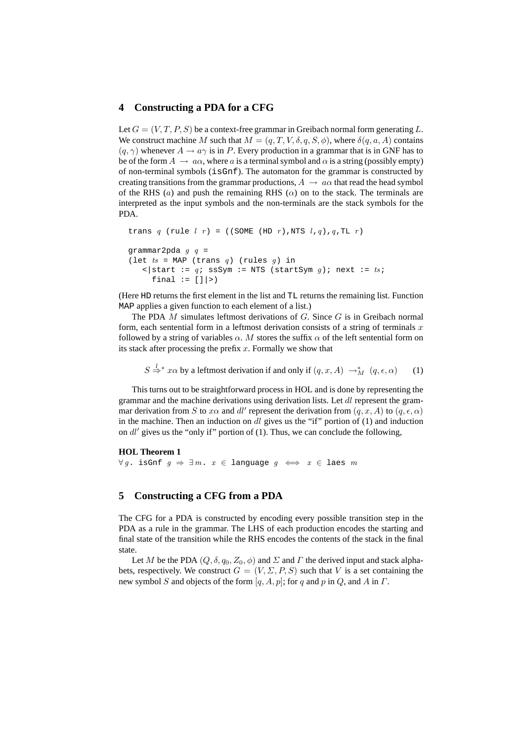# **4 Constructing a PDA for a CFG**

Let  $G = (V, T, P, S)$  be a context-free grammar in Greibach normal form generating L. We construct machine M such that  $M = (q, T, V, \delta, q, S, \phi)$ , where  $\delta(q, a, A)$  contains  $(q, \gamma)$  whenever  $A \to a\gamma$  is in P. Every production in a grammar that is in GNF has to be of the form  $A \rightarrow a\alpha$ , where a is a terminal symbol and  $\alpha$  is a string (possibly empty) of non-terminal symbols (isGnf). The automaton for the grammar is constructed by creating transitions from the grammar productions,  $A \rightarrow a\alpha$  that read the head symbol of the RHS (a) and push the remaining RHS ( $\alpha$ ) on to the stack. The terminals are interpreted as the input symbols and the non-terminals are the stack symbols for the PDA.

```
trans q (rule l r) = ((SOME (HD r), NTS l, q), q, TL r)
grammar2pda g \ q =(let ts = \text{MAP} (trans q) (rules g) in
   \leq|start := q; ssSym := NTS (startSym q); next := ts;
     final := [ ] | >
```
(Here HD returns the first element in the list and TL returns the remaining list. Function MAP applies a given function to each element of a list.)

The PDA  $M$  simulates leftmost derivations of  $G$ . Since  $G$  is in Greibach normal form, each sentential form in a leftmost derivation consists of a string of terminals  $x$ followed by a string of variables  $\alpha$ . M stores the suffix  $\alpha$  of the left sentential form on its stack after processing the prefix  $x$ . Formally we show that

$$
S \stackrel{l}{\Rightarrow}^* x\alpha \text{ by a leftmost derivation if and only if } (q, x, A) \rightarrow_M^* (q, \epsilon, \alpha) \qquad (1)
$$

This turns out to be straightforward process in HOL and is done by representing the grammar and the machine derivations using derivation lists. Let  $dl$  represent the grammar derivation from S to x $\alpha$  and dl' represent the derivation from  $(q, x, A)$  to  $(q, \epsilon, \alpha)$ in the machine. Then an induction on  $dl$  gives us the "if" portion of  $(1)$  and induction on dl′ gives us the "only if" portion of (1). Thus, we can conclude the following,

#### **HOL Theorem 1**

```
\forall q. isGnf q \Rightarrow \exists m. x \in language q \iff x \in laes m
```
# **5 Constructing a CFG from a PDA**

The CFG for a PDA is constructed by encoding every possible transition step in the PDA as a rule in the grammar. The LHS of each production encodes the starting and final state of the transition while the RHS encodes the contents of the stack in the final state.

Let M be the PDA  $(Q, \delta, q_0, Z_0, \phi)$  and  $\Sigma$  and  $\Gamma$  the derived input and stack alphabets, respectively. We construct  $G = (V, \Sigma, P, S)$  such that V is a set containing the new symbol S and objects of the form  $[q, A, p]$ ; for q and p in Q, and A in  $\Gamma$ .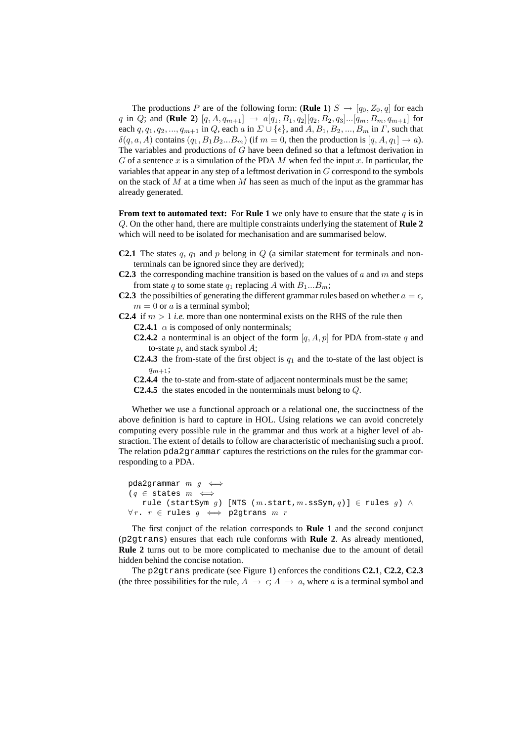The productions P are of the following form: (**Rule 1**)  $S \rightarrow [q_0, Z_0, q]$  for each q in Q; and (Rule 2)  $[q, A, q_{m+1}] \rightarrow a[q_1, B_1, q_2][q_2, B_2, q_3] \dots [q_m, B_m, q_{m+1}]$  for each  $q, q_1, q_2, ..., q_{m+1}$  in  $Q$ , each  $a$  in  $\Sigma \cup \{\epsilon\}$ , and  $A, B_1, B_2, ..., B_m$  in  $\Gamma$ , such that  $\delta(q, a, A)$  contains  $(q_1, B_1B_2...B_m)$  (if  $m = 0$ , then the production is  $[q, A, q_1] \rightarrow a$ ). The variables and productions of G have been defined so that a leftmost derivation in G of a sentence x is a simulation of the PDA M when fed the input x. In particular, the variables that appear in any step of a leftmost derivation in  $G$  correspond to the symbols on the stack of  $M$  at a time when  $M$  has seen as much of the input as the grammar has already generated.

**From text to automated text:** For **Rule 1** we only have to ensure that the state  $q$  is in Q. On the other hand, there are multiple constraints underlying the statement of **Rule 2** which will need to be isolated for mechanisation and are summarised below.

- **C2.1** The states  $q$ ,  $q_1$  and  $p$  belong in  $Q$  (a similar statement for terminals and nonterminals can be ignored since they are derived);
- **C2.3** the corresponding machine transition is based on the values of  $a$  and  $m$  and steps from state q to some state  $q_1$  replacing A with  $B_1...B_m$ ;
- **C2.3** the possibilties of generating the different grammar rules based on whether  $a = \epsilon$ ,  $m = 0$  or a is a terminal symbol;

**C2.4** if  $m > 1$  *i.e.* more than one nonterminal exists on the RHS of the rule then

- **C2.4.1**  $\alpha$  is composed of only nonterminals;
- **C2.4.2** a nonterminal is an object of the form  $[q, A, p]$  for PDA from-state q and to-state  $p$ , and stack symbol  $A$ ;
- **C2.4.3** the from-state of the first object is  $q_1$  and the to-state of the last object is  $q_{m+1}$ ;

**C2.4.4** the to-state and from-state of adjacent nonterminals must be the same;

**C2.4.5** the states encoded in the nonterminals must belong to Q.

Whether we use a functional approach or a relational one, the succinctness of the above definition is hard to capture in HOL. Using relations we can avoid concretely computing every possible rule in the grammar and thus work at a higher level of abstraction. The extent of details to follow are characteristic of mechanising such a proof. The relation pda2grammar captures the restrictions on the rules for the grammar corresponding to a PDA.

```
pda2grammar m g \iff(q \in states m \iffrule (startSym g) [NTS (m.start, m.ssSym, q)] \in rules g) \wedge∀r. r ∈ rules q \iff p2qtrans m r
```
The first conjuct of the relation corresponds to **Rule 1** and the second conjunct (p2gtrans) ensures that each rule conforms with **Rule 2**. As already mentioned, **Rule 2** turns out to be more complicated to mechanise due to the amount of detail hidden behind the concise notation.

The p2gtrans predicate (see Figure 1) enforces the conditions **C2.1**, **C2.2**, **C2.3** (the three possibilities for the rule,  $A \rightarrow \epsilon$ ;  $A \rightarrow a$ , where a is a terminal symbol and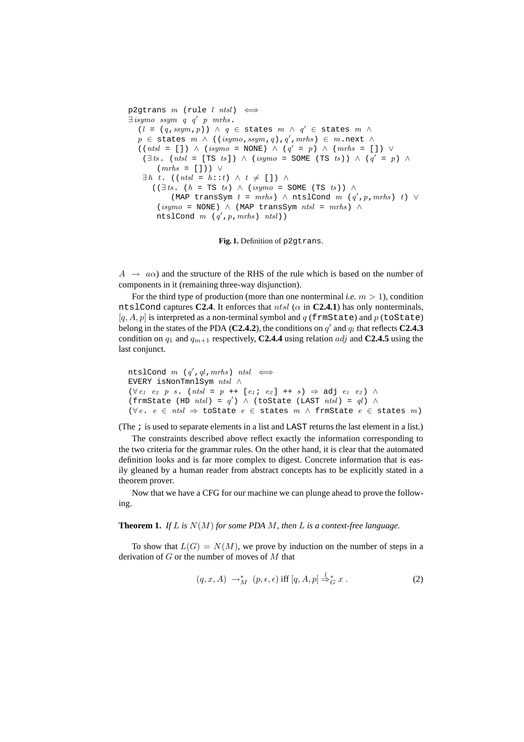```
p2gtrans m (rule l ntsl) \iff\existsisymo ssym q q' p mrhs.
   (l = (q, ssym, p)) ∧ q \in states m \wedge q' \in states m \wedge qp \in states m \wedge ((isymo,ssym,q),q',mrhs) \in m.next \wedge((ntsl = []) \land (isymo = \text{NOTE}) \land (q' = p) \land (mrhs = []) \lor(\exists ts. (ntsl = [\text{TS } ts]) ∧ (isymo = \text{SOME} (TS ts)) ∧ (q' = p) ∧
       (mrhs = [])) ∨
    \exists h \ t. ((ntsl = h::t) \wedge t \neq []) \wedge(\exists ts. (h = TS ts) ∧ (isymo = SOME (TS ts)) ∧
            (MAP transSym t = mrhs) \land ntslCond m (q', p, mrhs) t) \lor(isymo = \text{NOTE}) ∧ (MAP transSym ntsl = mrhs) ∧
        ntslCond m (q', p, mrhs) ntsl))
```


 $A \rightarrow a\alpha$ ) and the structure of the RHS of the rule which is based on the number of components in it (remaining three-way disjunction).

For the third type of production (more than one nonterminal *i.e.*  $m > 1$ ), condition ntslCond captures **C2.4**. It enforces that ntsl ( $\alpha$  in **C2.4.1**) has only nonterminals,  $[q, A, p]$  is interpreted as a non-terminal symbol and q (frmState) and p (toState) belong in the states of the PDA (**C2.4.2**), the conditions on  $q'$  and  $q_l$  that reflects **C2.4.3** condition on  $q_1$  and  $q_{m+1}$  respectively, **C2.4.4** using relation *adj* and **C2.4.5** using the last conjunct.

```
ntslCond m (q',ql,mrhs) ntsl \iffEVERY isNonTmnlSym ntsl ∧
(\forall e_1 \ e_2 \ p \ s. \ (ntsl = p ++ [e_1; e_2] ++ s) \Rightarrow adj e_1 e_2) \wedge(frmState (HD ntsl) = q') \wedge (toState (LAST ntsl) = ql) \wedge(\forall e. e \in ntsl \Rightarrow toState e \in states m \land frmState e \in states m)
```
(The  $\cdot$  is used to separate elements in a list and LAST returns the last element in a list.)

The constraints described above reflect exactly the information corresponding to the two criteria for the grammar rules. On the other hand, it is clear that the automated definition looks and is far more complex to digest. Concrete information that is easily gleaned by a human reader from abstract concepts has to be explicitly stated in a theorem prover.

Now that we have a CFG for our machine we can plunge ahead to prove the following.

**Theorem 1.** *If* L *is* N(M) *for some PDA* M*, then* L *is a context-free language.*

To show that  $L(G) = N(M)$ , we prove by induction on the number of steps in a derivation of  $G$  or the number of moves of  $M$  that

$$
(q, x, A) \rightarrow_M^* (p, \epsilon, \epsilon) \text{ iff } [q, A, p] \stackrel{l}{\Rightarrow_G^*} x . \tag{2}
$$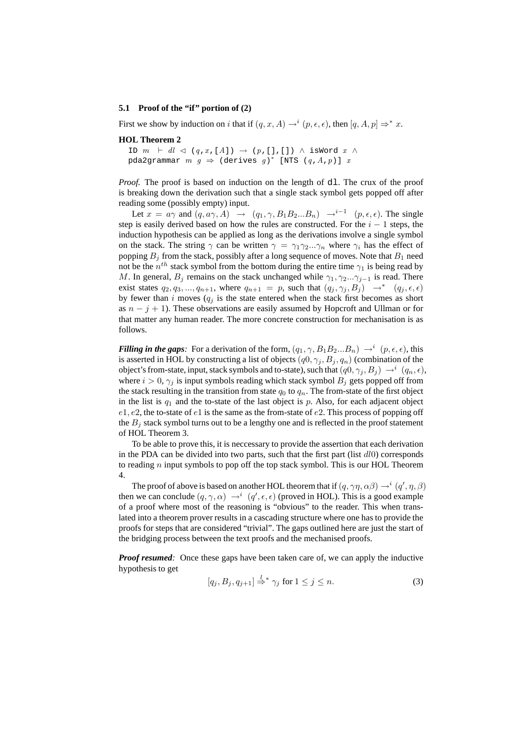#### **5.1 Proof of the "if" portion of (2)**

First we show by induction on i that if  $(q, x, A) \rightarrow^{i} (p, \epsilon, \epsilon)$ , then  $[q, A, p] \Rightarrow^{*} x$ .

#### **HOL Theorem 2**

```
ID m + dl \leq (q, x, [A]) \rightarrow (p, [], []) \land isWord x \land ...pda2grammar m \stackrel{\sim}{g} \Rightarrow (derives g)^* [NTS (q,A,p)] x
```
*Proof.* The proof is based on induction on the length of dl. The crux of the proof is breaking down the derivation such that a single stack symbol gets popped off after reading some (possibly empty) input.

Let  $x = a\gamma$  and  $(q, a\gamma, A) \rightarrow (q_1, \gamma, B_1 B_2 ... B_n) \rightarrow i^{-1} (p, \epsilon, \epsilon)$ . The single step is easily derived based on how the rules are constructed. For the  $i - 1$  steps, the induction hypothesis can be applied as long as the derivations involve a single symbol on the stack. The string  $\gamma$  can be written  $\gamma = \gamma_1 \gamma_2...\gamma_n$  where  $\gamma_i$  has the effect of popping  $B_j$  from the stack, possibly after a long sequence of moves. Note that  $B_1$  need not be the  $n^{th}$  stack symbol from the bottom during the entire time  $\gamma_1$  is being read by M. In general,  $B_j$  remains on the stack unchanged while  $\gamma_1, \gamma_2...\gamma_{j-1}$  is read. There exist states  $q_2, q_3, ..., q_{n+1}$ , where  $q_{n+1} = p$ , such that  $(q_j, \gamma_j, B_j) \rightarrow^* (q_j, \epsilon, \epsilon)$ by fewer than i moves  $(q_i)$  is the state entered when the stack first becomes as short as  $n - j + 1$ ). These observations are easily assumed by Hopcroft and Ullman or for that matter any human reader. The more concrete construction for mechanisation is as follows.

*Filling in the gaps*: For a derivation of the form,  $(q_1, \gamma, B_1 B_2 ... B_n) \rightarrow^{i} (p, \epsilon, \epsilon)$ , this is asserted in HOL by constructing a list of objects  $(q0, \gamma_j, B_j, q_n)$  (combination of the object's from-state, input, stack symbols and to-state), such that  $(q0, \gamma_j, B_j) \rightarrow^i (q_n, \epsilon)$ , where  $i > 0$ ,  $\gamma_i$  is input symbols reading which stack symbol  $B_i$  gets popped off from the stack resulting in the transition from state  $q_0$  to  $q_n$ . The from-state of the first object in the list is  $q_1$  and the to-state of the last object is p. Also, for each adjacent object e1, e2, the to-state of e1 is the same as the from-state of e2. This process of popping off the  $B_i$  stack symbol turns out to be a lengthy one and is reflected in the proof statement of HOL Theorem 3.

To be able to prove this, it is neccessary to provide the assertion that each derivation in the PDA can be divided into two parts, such that the first part (list  $d\ell$ ) corresponds to reading  $n$  input symbols to pop off the top stack symbol. This is our HOL Theorem 4.

The proof of above is based on another HOL theorem that if  $(q, \gamma\eta, \alpha\beta) \rightarrow^{i} (q', \eta, \beta)$ then we can conclude  $(q, \gamma, \alpha) \rightarrow^{i} (q', \epsilon, \epsilon)$  (proved in HOL). This is a good example of a proof where most of the reasoning is "obvious" to the reader. This when translated into a theorem prover results in a cascading structure where one has to provide the proofs for steps that are considered "trivial". The gaps outlined here are just the start of the bridging process between the text proofs and the mechanised proofs.

*Proof resumed*: Once these gaps have been taken care of, we can apply the inductive hypothesis to get

$$
[q_j, B_j, q_{j+1}] \stackrel{l}{\Rightarrow}^* \gamma_j \text{ for } 1 \le j \le n. \tag{3}
$$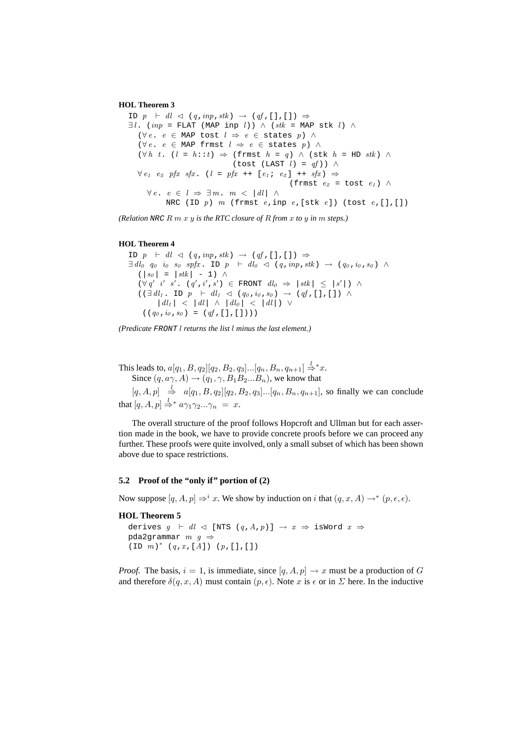#### **HOL Theorem 3**

```
ID p \vdash dl \lhd (q, inp, stk) \rightarrow (qf, [], []) \Rightarrow\exists l. (inp = FLAT (MAP inp l)) \wedge (stk = MAP stk l) \wedge(\forall e. e \in \text{MAP} tost l \Rightarrow e \in \text{states } p) \land(\forall e. e \in \text{MAP} frmst l \Rightarrow e \in \text{states } p) \land(\forall h t. (l = h : : t) \Rightarrow (frmst h = q) \land (stk h = HD stk) \land(tost (LAST l) = qf)) \wedge\forall e_1 \ e_2 \ pfx \ sfx. \ (l = pfx + [e_1; e_2] + sfx) \Rightarrow(frmst e_2 = tost e_1) \wedge\forall e. e \in l \Rightarrow \exists m. m \langle |dl| \wedgeNRC (ID p) m (frmst e, inp e, [stk e]) (tost e, [], [])
```
*(Relation* NRC R m x y *is the RTC closure of* R *from* x *to* y *in* m *steps.)*

#### **HOL Theorem 4**

ID  $p \vdash dl \lhd (q, inp, stk) \rightarrow (qf, [], []) \Rightarrow$  $\exists dl_0 q_0 i_0 s_0 spfx$ . ID  $p \vdash dl_0 \triangleleft (q, inp, stk) \rightarrow (q_0, i_0, s_0) \wedge$ ( |  $s_0$  | = |stk | − 1) ∧  $(\forall q' \ i' \ s' \ldots (q', i', s') \in \text{FRONT} \ dl_0 \Rightarrow |stk| \leq |s'|) \land$  $((\exists dl_1 \cdot \text{ID } p \ \vdash dl_1 \ \lhd \ (q_0, i_0, s_0) \ \rightarrow \ (qf, [\ ] , [\ ] ) \ \wedge$  $|dl_1| < |dl| \wedge |dl_0| < |dl|$ ) ∨  $((q_0, i_0, s_0) = (qf, [], [])$ 

*(Predicate* FRONT l *returns the list* l *minus the last element.)*

This leads to,  $a[q_1, B, q_2][q_2, B_2, q_3] ... [q_n, B_n, q_{n+1}] \stackrel{l}{\Rightarrow}^* x.$ Since  $(q, a\gamma, A) \rightarrow (q_1, \gamma, B_1 B_2 ... B_n)$ , we know that

 $[q, A, p] \stackrel{l}{\Rightarrow} a[q_1, B, q_2][q_2, B_2, q_3] \dots [q_n, B_n, q_{n+1}],$  so finally we can conclude that  $[q, A, p] \stackrel{l}{\Rightarrow}^* a \gamma_1 \gamma_2 ... \gamma_n = x$ .

The overall structure of the proof follows Hopcroft and Ullman but for each assertion made in the book, we have to provide concrete proofs before we can proceed any further. These proofs were quite involved, only a small subset of which has been shown above due to space restrictions.

#### **5.2 Proof of the "only if" portion of (2)**

Now suppose  $[q, A, p] \Rightarrow^{i} x$ . We show by induction on i that  $(q, x, A) \rightarrow^{*} (p, \epsilon, \epsilon)$ .

#### **HOL Theorem 5**

```
derives q \vdash dl \lhd [NTS (q, A, p)] \rightarrow x \Rightarrow isWord x \Rightarrowpda2qrammar m q \Rightarrow(TD \ m)^* (q, x, [A]) (p, [], [])
```
*Proof.* The basis,  $i = 1$ , is immediate, since  $[q, A, p] \rightarrow x$  must be a production of G and therefore  $\delta(q, x, A)$  must contain  $(p, \epsilon)$ . Note x is  $\epsilon$  or in  $\Sigma$  here. In the inductive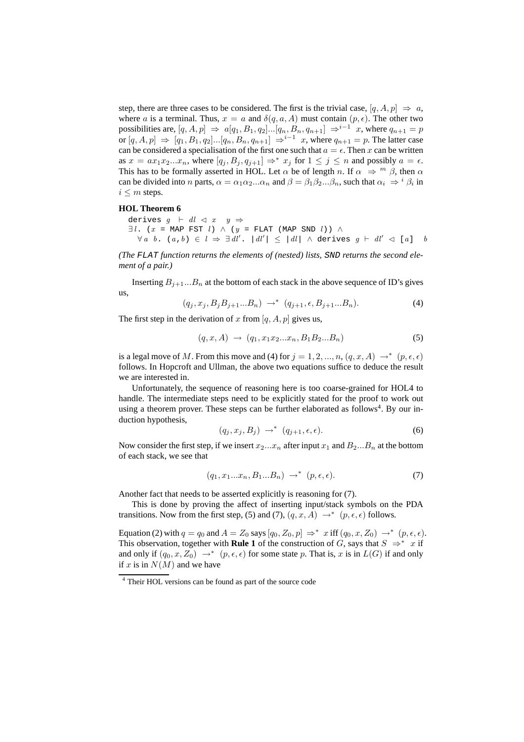step, there are three cases to be considered. The first is the trivial case,  $[q, A, p] \Rightarrow a$ , where a is a terminal. Thus,  $x = a$  and  $\delta(q, a, A)$  must contain  $(p, \epsilon)$ . The other two possibilities are,  $[q, A, p] \Rightarrow a[q_1, B_1, q_2] ... [q_n, B_n, q_{n+1}] \Rightarrow i^{-1} x$ , where  $q_{n+1} = p$ or  $[q, A, p] \Rightarrow [q_1, B_1, q_2] \dots [q_n, B_n, q_{n+1}] \Rightarrow^{i-1} x$ , where  $q_{n+1} = p$ . The latter case can be considered a specialisation of the first one such that  $a = \epsilon$ . Then x can be written as  $x = ax_1x_2...x_n$ , where  $[q_j, B_j, q_{j+1}] \Rightarrow^* x_j$  for  $1 \le j \le n$  and possibly  $a = \epsilon$ . This has to be formally asserted in HOL. Let  $\alpha$  be of length n. If  $\alpha \Rightarrow^m \beta$ , then  $\alpha$ can be divided into *n* parts,  $\alpha = \alpha_1 \alpha_2 ... \alpha_n$  and  $\beta = \beta_1 \beta_2 ... \beta_n$ , such that  $\alpha_i \Rightarrow i \beta_i$  in  $i \leq m$  steps.

### **HOL Theorem 6**

derives  $q \vdash dl \lhd x \quad y \Rightarrow$  $\exists l.$  (x = MAP FST  $l$ )  $\wedge$  (y = FLAT (MAP SND  $l$ ))  $\wedge$  $\forall a \ b. \ (a, b) \in l \Rightarrow \exists dl'. \ |dl'| \leq |dl| \land$  derives  $g \vdash dl' \lhd [a] \quad b$ 

*(The* FLAT *function returns the elements of (nested) lists,* SND *returns the second element of a pair.)*

Inserting  $B_{i+1}...B_n$  at the bottom of each stack in the above sequence of ID's gives us,

$$
(q_j, x_j, B_j B_{j+1}...B_n) \rightarrow^* (q_{j+1}, \epsilon, B_{j+1}...B_n).
$$
 (4)

The first step in the derivation of x from  $[q, A, p]$  gives us,

$$
(q, x, A) \rightarrow (q_1, x_1 x_2 ... x_n, B_1 B_2 ... B_n)
$$
\n
$$
(5)
$$

is a legal move of M. From this move and (4) for  $j = 1, 2, ..., n$ ,  $(q, x, A) \rightarrow^* (p, \epsilon, \epsilon)$ follows. In Hopcroft and Ullman, the above two equations suffice to deduce the result we are interested in.

Unfortunately, the sequence of reasoning here is too coarse-grained for HOL4 to handle. The intermediate steps need to be explicitly stated for the proof to work out using a theorem prover. These steps can be further elaborated as follows<sup>4</sup>. By our induction hypothesis,

$$
(q_j, x_j, B_j) \rightarrow^* (q_{j+1}, \epsilon, \epsilon). \tag{6}
$$

Now consider the first step, if we insert  $x_2...x_n$  after input  $x_1$  and  $B_2...B_n$  at the bottom of each stack, we see that

$$
(q_1, x_1...x_n, B_1...B_n) \rightarrow^* (p, \epsilon, \epsilon). \tag{7}
$$

Another fact that needs to be asserted explicitly is reasoning for (7).

This is done by proving the affect of inserting input/stack symbols on the PDA transitions. Now from the first step, (5) and (7),  $(q, x, A) \rightarrow^* (p, \epsilon, \epsilon)$  follows.

Equation (2) with  $q = q_0$  and  $A = Z_0$  says  $[q_0, Z_0, p] \Rightarrow^* x$  iff  $(q_0, x, Z_0) \rightarrow^* (p, \epsilon, \epsilon)$ . This observation, together with **Rule 1** of the construction of G, says that  $S \Rightarrow^* x$  if and only if  $(q_0, x, Z_0) \rightarrow^* (p, \epsilon, \epsilon)$  for some state p. That is, x is in  $L(G)$  if and only if x is in  $N(M)$  and we have

<sup>4</sup> Their HOL versions can be found as part of the source code